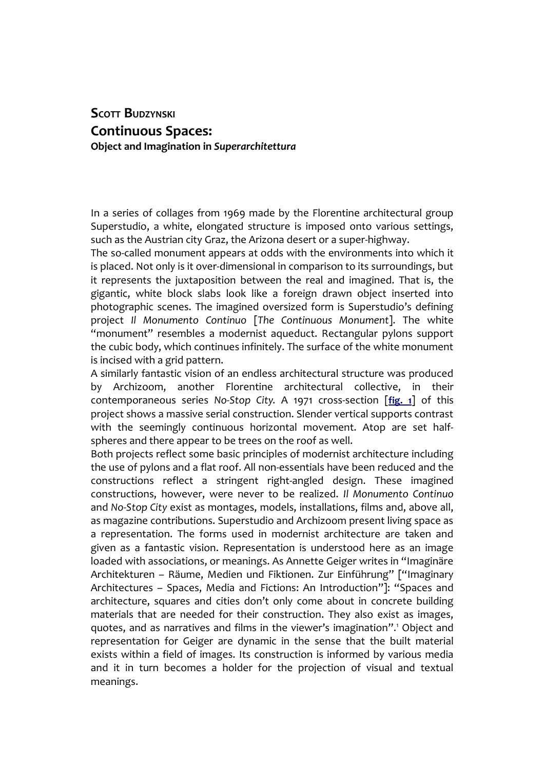## **SCOTT BUDZYNSKI Continuous Spaces: Object and Imagination in** *Superarchitettura*

In a series of collages from 1969 made by the Florentine architectural group Superstudio, a white, elongated structure is imposed onto various settings, such as the Austrian city Graz, the Arizona desert or a super-highway.

The so-called monument appears at odds with the environments into which it is placed. Not only is it over-dimensional in comparison to its surroundings, but it represents the juxtaposition between the real and imagined. That is, the gigantic, white block slabs look like a foreign drawn object inserted into photographic scenes. The imagined oversized form is Superstudio's defining project *Il Monumento Continuo* [*The Continuous Monument*]. The white "monument" resembles a modernist aqueduct. Rectangular pylons support the cubic body, which continues infinitely. The surface of the white monument is incised with a grid pattern.

A similarly fantastic vision of an endless architectural structure was produced by Archizoom, another Florentine architectural collective, in their contemporaneous series *No-Stop City*. A 1971 cross-section [**[fig. 1](http://www.palinsesti.net/index.php/Palinsesti/article/downloadSuppFile/15/91)**] of this project shows a massive serial construction. Slender vertical supports contrast with the seemingly continuous horizontal movement. Atop are set halfspheres and there appear to be trees on the roof as well.

Both projects reflect some basic principles of modernist architecture including the use of pylons and a flat roof. All non-essentials have been reduced and the constructions reflect a stringent right-angled design. These imagined constructions, however, were never to be realized. *Il Monumento Continuo* and *No-Stop City* exist as montages, models, installations, films and, above all, as magazine contributions. Superstudio and Archizoom present living space as a representation. The forms used in modernist architecture are taken and given as a fantastic vision. Representation is understood here as an image loaded with associations, or meanings. As Annette Geiger writes in "Imaginäre Architekturen – Räume, Medien und Fiktionen. Zur Einführung" ["Imaginary Architectures – Spaces, Media and Fictions: An Introduction"]: "Spaces and architecture, squares and cities don't only come about in concrete building materials that are needed for their construction. They also exist as images, quotes, and as narratives and films in the viewer's imagination".<sup>[1](#page-16-0)</sup> Object and representation for Geiger are dynamic in the sense that the built material exists within a field of images. Its construction is informed by various media and it in turn becomes a holder for the projection of visual and textual meanings.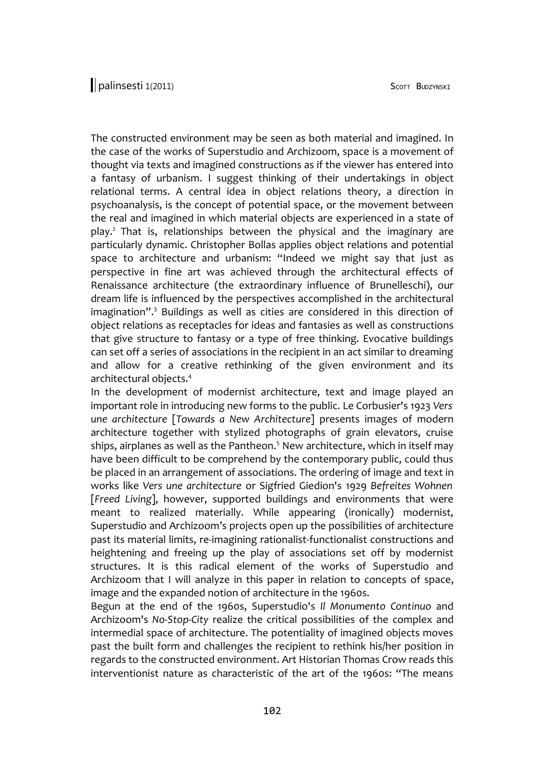The constructed environment may be seen as both material and imagined. In the case of the works of Superstudio and Archizoom, space is a movement of thought via texts and imagined constructions as if the viewer has entered into a fantasy of urbanism. I suggest thinking of their undertakings in object relational terms. A central idea in object relations theory, a direction in psychoanalysis, is the concept of potential space, or the movement between the real and imagined in which material objects are experienced in a state of play.<sup>[2](#page-16-1)</sup> That is, relationships between the physical and the imaginary are particularly dynamic. Christopher Bollas applies object relations and potential space to architecture and urbanism: "Indeed we might say that just as perspective in fine art was achieved through the architectural effects of Renaissance architecture (the extraordinary influence of Brunelleschi), our dream life is influenced by the perspectives accomplished in the architectural imagination".<sup>[3](#page-16-2)</sup> Buildings as well as cities are considered in this direction of object relations as receptacles for ideas and fantasies as well as constructions that give structure to fantasy or a type of free thinking. Evocative buildings can set off a series of associations in the recipient in an act similar to dreaming and allow for a creative rethinking of the given environment and its architectural objects.[4](#page-16-3)

In the development of modernist architecture, text and image played an important role in introducing new forms to the public. Le Corbusier's 1923 *Vers une architecture* [*Towards a New Architecture*] presents images of modern architecture together with stylized photographs of grain elevators, cruise ships, airplanes as well as the Pantheon.<sup>[5](#page-16-4)</sup> New architecture, which in itself may have been difficult to be comprehend by the contemporary public, could thus be placed in an arrangement of associations. The ordering of image and text in works like *Vers une architecture* or Sigfried Giedion's 1929 *Befreites Wohnen* [*Freed Living*], however, supported buildings and environments that were meant to realized materially. While appearing (ironically) modernist, Superstudio and Archizoom's projects open up the possibilities of architecture past its material limits, re-imagining rationalist-functionalist constructions and heightening and freeing up the play of associations set off by modernist structures. It is this radical element of the works of Superstudio and Archizoom that I will analyze in this paper in relation to concepts of space, image and the expanded notion of architecture in the 1960s.

Begun at the end of the 1960s, Superstudio's *Il Monumento Continuo* and Archizoom's *No-Stop-City* realize the critical possibilities of the complex and intermedial space of architecture. The potentiality of imagined objects moves past the built form and challenges the recipient to rethink his/her position in regards to the constructed environment. Art Historian Thomas Crow reads this interventionist nature as characteristic of the art of the 1960s: "The means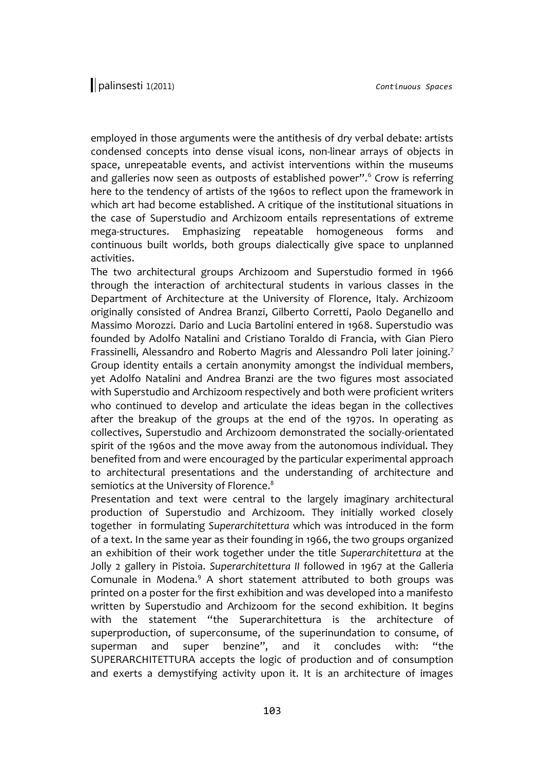employed in those arguments were the antithesis of dry verbal debate: artists condensed concepts into dense visual icons, non-linear arrays of objects in space, unrepeatable events, and activist interventions within the museums and galleries now seen as outposts of established power".<sup>[6](#page-16-5)</sup> Crow is referring here to the tendency of artists of the 1960s to reflect upon the framework in which art had become established. A critique of the institutional situations in the case of Superstudio and Archizoom entails representations of extreme mega-structures. Emphasizing repeatable homogeneous forms and continuous built worlds, both groups dialectically give space to unplanned activities.

The two architectural groups Archizoom and Superstudio formed in 1966 through the interaction of architectural students in various classes in the Department of Architecture at the University of Florence, Italy. Archizoom originally consisted of Andrea Branzi, Gilberto Corretti, Paolo Deganello and Massimo Morozzi. Dario and Lucia Bartolini entered in 1968. Superstudio was founded by Adolfo Natalini and Cristiano Toraldo di Francia, with Gian Piero Frassinelli, Alessandro and Roberto Magris and Alessandro Poli later joining.<sup>[7](#page-16-6)</sup> Group identity entails a certain anonymity amongst the individual members, yet Adolfo Natalini and Andrea Branzi are the two figures most associated with Superstudio and Archizoom respectively and both were proficient writers who continued to develop and articulate the ideas began in the collectives after the breakup of the groups at the end of the 1970s. In operating as collectives, Superstudio and Archizoom demonstrated the socially-orientated spirit of the 1960s and the move away from the autonomous individual. They benefited from and were encouraged by the particular experimental approach to architectural presentations and the understanding of architecture and semiotics at the University of Florence.<sup>[8](#page-16-7)</sup>

Presentation and text were central to the largely imaginary architectural production of Superstudio and Archizoom. They initially worked closely together in formulating *Superarchitettura* which was introduced in the form of a text. In the same year as their founding in 1966, the two groups organized an exhibition of their work together under the title *Superarchitettura* at the Jolly 2 gallery in Pistoia. *Superarchitettura II* followed in 1967 at the Galleria Comunale in Modena.<sup>[9](#page-16-8)</sup> A short statement attributed to both groups was printed on a poster for the first exhibition and was developed into a manifesto written by Superstudio and Archizoom for the second exhibition. It begins with the statement "the Superarchitettura is the architecture of superproduction, of superconsume, of the superinundation to consume, of superman and super benzine", and it concludes with: "the SUPERARCHITETTURA accepts the logic of production and of consumption and exerts a demystifying activity upon it. It is an architecture of images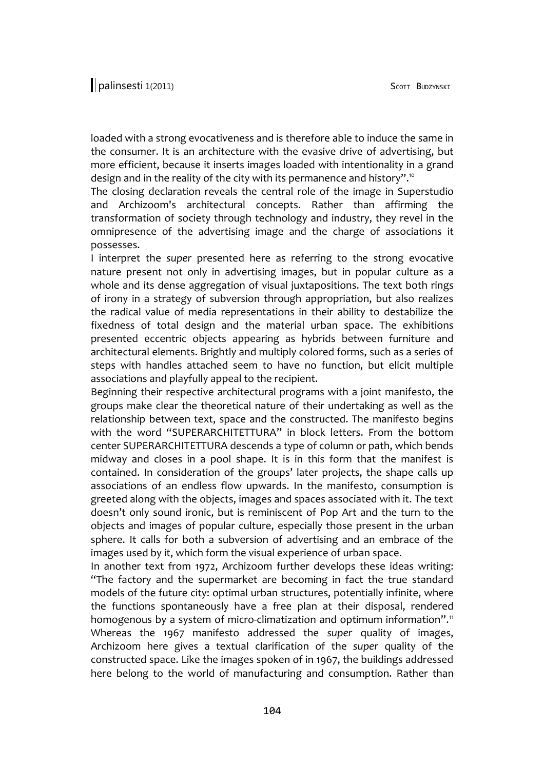loaded with a strong evocativeness and is therefore able to induce the same in the consumer. It is an architecture with the evasive drive of advertising, but more efficient, because it inserts images loaded with intentionality in a grand design and in the reality of the city with its permanence and history".<sup>10</sup>

The closing declaration reveals the central role of the image in Superstudio and Archizoom's architectural concepts. Rather than affirming the transformation of society through technology and industry, they revel in the omnipresence of the advertising image and the charge of associations it possesses.

I interpret the *super* presented here as referring to the strong evocative nature present not only in advertising images, but in popular culture as a whole and its dense aggregation of visual juxtapositions. The text both rings of irony in a strategy of subversion through appropriation, but also realizes the radical value of media representations in their ability to destabilize the fixedness of total design and the material urban space. The exhibitions presented eccentric objects appearing as hybrids between furniture and architectural elements. Brightly and multiply colored forms, such as a series of steps with handles attached seem to have no function, but elicit multiple associations and playfully appeal to the recipient.

Beginning their respective architectural programs with a joint manifesto, the groups make clear the theoretical nature of their undertaking as well as the relationship between text, space and the constructed. The manifesto begins with the word "SUPERARCHITETTURA" in block letters. From the bottom center SUPERARCHITETTURA descends a type of column or path, which bends midway and closes in a pool shape. It is in this form that the manifest is contained. In consideration of the groups' later projects, the shape calls up associations of an endless flow upwards. In the manifesto, consumption is greeted along with the objects, images and spaces associated with it. The text doesn't only sound ironic, but is reminiscent of Pop Art and the turn to the objects and images of popular culture, especially those present in the urban sphere. It calls for both a subversion of advertising and an embrace of the images used by it, which form the visual experience of urban space.

In another text from 1972, Archizoom further develops these ideas writing: "The factory and the supermarket are becoming in fact the true standard models of the future city: optimal urban structures, potentially infinite, where the functions spontaneously have a free plan at their disposal, rendered homogenous by a system of micro-climatization and optimum information".<sup>[11](#page-16-10)</sup> Whereas the 1967 manifesto addressed the *super* quality of images, Archizoom here gives a textual clarification of the *super* quality of the constructed space. Like the images spoken of in 1967, the buildings addressed here belong to the world of manufacturing and consumption. Rather than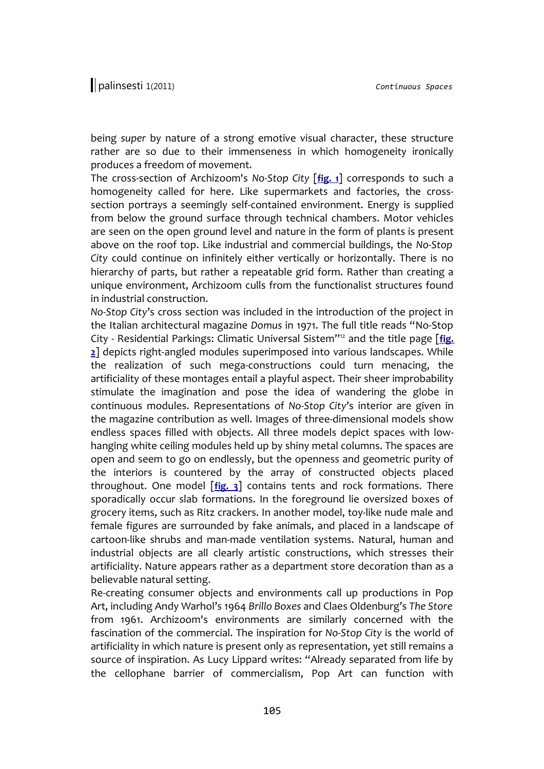being *super* by nature of a strong emotive visual character, these structure rather are so due to their immenseness in which homogeneity ironically produces a freedom of movement.

The cross-section of Archizoom's *No-Stop City* [**[fig. 1](http://www.palinsesti.net/index.php/Palinsesti/article/downloadSuppFile/15/91)**] corresponds to such a homogeneity called for here. Like supermarkets and factories, the crosssection portrays a seemingly self-contained environment. Energy is supplied from below the ground surface through technical chambers. Motor vehicles are seen on the open ground level and nature in the form of plants is present above on the roof top. Like industrial and commercial buildings, the *No-Stop City* could continue on infinitely either vertically or horizontally. There is no hierarchy of parts, but rather a repeatable grid form. Rather than creating a unique environment, Archizoom culls from the functionalist structures found in industrial construction.

*No-Stop City*'s cross section was included in the introduction of the project in the Italian architectural magazine *Domus* in 1971. The full title reads "No-Stop City - Residential Parkings: Climatic Universal Sistem"[12](#page-16-11) and the title page [**[fig.](http://www.palinsesti.net/index.php/Palinsesti/article/downloadSuppFile/15/88) [2](http://www.palinsesti.net/index.php/Palinsesti/article/downloadSuppFile/15/88)**] depicts right-angled modules superimposed into various landscapes. While the realization of such mega-constructions could turn menacing, the artificiality of these montages entail a playful aspect. Their sheer improbability stimulate the imagination and pose the idea of wandering the globe in continuous modules. Representations of *No-Stop City*'s interior are given in the magazine contribution as well. Images of three-dimensional models show endless spaces filled with objects. All three models depict spaces with lowhanging white ceiling modules held up by shiny metal columns. The spaces are open and seem to go on endlessly, but the openness and geometric purity of the interiors is countered by the array of constructed objects placed throughout. One model [**[fig. 3](http://www.palinsesti.net/index.php/Palinsesti/article/downloadSuppFile/15/89)**] contains tents and rock formations. There sporadically occur slab formations. In the foreground lie oversized boxes of grocery items, such as Ritz crackers. In another model, toy-like nude male and female figures are surrounded by fake animals, and placed in a landscape of cartoon-like shrubs and man-made ventilation systems. Natural, human and industrial objects are all clearly artistic constructions, which stresses their artificiality. Nature appears rather as a department store decoration than as a believable natural setting.

Re-creating consumer objects and environments call up productions in Pop Art, including Andy Warhol's 1964 *Brillo Boxes* and Claes Oldenburg's *The Store* from 1961. Archizoom's environments are similarly concerned with the fascination of the commercial. The inspiration for *No-Stop City* is the world of artificiality in which nature is present only as representation, yet still remains a source of inspiration. As Lucy Lippard writes: "Already separated from life by the cellophane barrier of commercialism, Pop Art can function with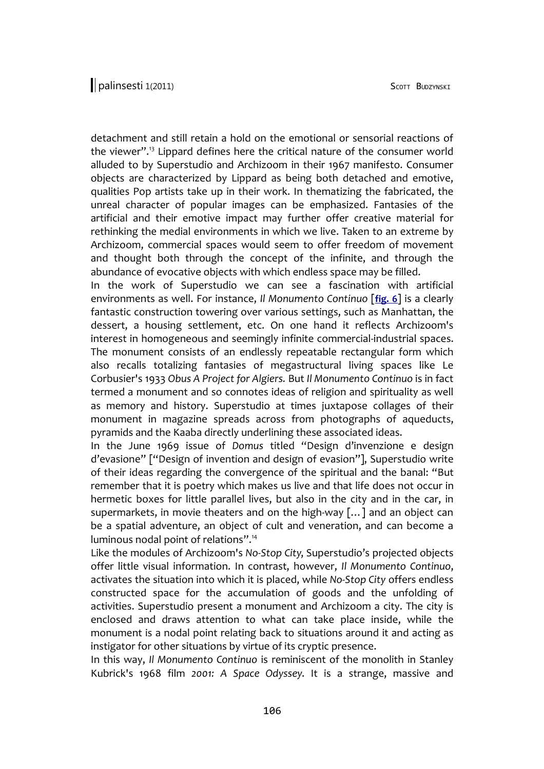detachment and still retain a hold on the emotional or sensorial reactions of the viewer".[13](#page-16-12) Lippard defines here the critical nature of the consumer world alluded to by Superstudio and Archizoom in their 1967 manifesto. Consumer objects are characterized by Lippard as being both detached and emotive, qualities Pop artists take up in their work. In thematizing the fabricated, the unreal character of popular images can be emphasized. Fantasies of the artificial and their emotive impact may further offer creative material for rethinking the medial environments in which we live. Taken to an extreme by Archizoom, commercial spaces would seem to offer freedom of movement and thought both through the concept of the infinite, and through the abundance of evocative objects with which endless space may be filled.

In the work of Superstudio we can see a fascination with artificial environments as well. For instance, *Il Monumento Continuo* [**[fig. 6](http://www.palinsesti.net/index.php/Palinsesti/article/downloadSuppFile/15/93)**] is a clearly fantastic construction towering over various settings, such as Manhattan, the dessert, a housing settlement, etc. On one hand it reflects Archizoom's interest in homogeneous and seemingly infinite commercial-industrial spaces. The monument consists of an endlessly repeatable rectangular form which also recalls totalizing fantasies of megastructural living spaces like Le Corbusier's 1933 *Obus A Project for Algiers.* But *Il Monumento Continuo* is in fact termed a monument and so connotes ideas of religion and spirituality as well as memory and history. Superstudio at times juxtapose collages of their monument in magazine spreads across from photographs of aqueducts, pyramids and the Kaaba directly underlining these associated ideas.

In the June 1969 issue of *Domus* titled "Design d'invenzione e design d'evasione" ["Design of invention and design of evasion"], Superstudio write of their ideas regarding the convergence of the spiritual and the banal: "But remember that it is poetry which makes us live and that life does not occur in hermetic boxes for little parallel lives, but also in the city and in the car, in supermarkets, in movie theaters and on the high-way […] and an object can be a spatial adventure, an object of cult and veneration, and can become a luminous nodal point of relations".[14](#page-16-13)

Like the modules of Archizoom's *No-Stop City*, Superstudio's projected objects offer little visual information. In contrast, however, *Il Monumento Continuo*, activates the situation into which it is placed, while *No-Stop City* offers endless constructed space for the accumulation of goods and the unfolding of activities. Superstudio present a monument and Archizoom a city. The city is enclosed and draws attention to what can take place inside, while the monument is a nodal point relating back to situations around it and acting as instigator for other situations by virtue of its cryptic presence.

In this way, *Il Monumento Continuo* is reminiscent of the monolith in Stanley Kubrick's 1968 film *2001: A Space Odyssey*. It is a strange, massive and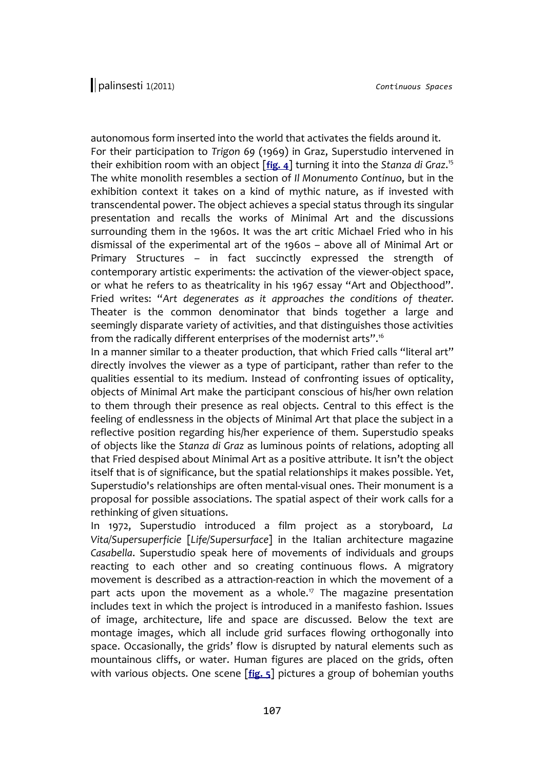autonomous form inserted into the world that activates the fields around it. For their participation to *Trigon 69* (1969) in Graz, Superstudio intervened in their exhibition room with an object [**[fig. 4](http://www.palinsesti.net/index.php/Palinsesti/article/downloadSuppFile/15/90)**] turning it into the *Stanza di Graz*. [15](#page-16-14) The white monolith resembles a section of *Il Monumento Continuo*, but in the exhibition context it takes on a kind of mythic nature, as if invested with transcendental power. The object achieves a special status through its singular presentation and recalls the works of Minimal Art and the discussions surrounding them in the 1960s. It was the art critic Michael Fried who in his dismissal of the experimental art of the 1960s – above all of Minimal Art or Primary Structures – in fact succinctly expressed the strength of contemporary artistic experiments: the activation of the viewer-object space, or what he refers to as theatricality in his 1967 essay "Art and Objecthood". Fried writes: "*Art degenerates as it approaches the conditions of theater*. Theater is the common denominator that binds together a large and seemingly disparate variety of activities, and that distinguishes those activities from the radically different enterprises of the modernist arts".[16](#page-16-15)

In a manner similar to a theater production, that which Fried calls "literal art" directly involves the viewer as a type of participant, rather than refer to the qualities essential to its medium. Instead of confronting issues of opticality, objects of Minimal Art make the participant conscious of his/her own relation to them through their presence as real objects. Central to this effect is the feeling of endlessness in the objects of Minimal Art that place the subject in a reflective position regarding his/her experience of them. Superstudio speaks of objects like the *Stanza di Graz* as luminous points of relations, adopting all that Fried despised about Minimal Art as a positive attribute. It isn't the object itself that is of significance, but the spatial relationships it makes possible. Yet, Superstudio's relationships are often mental-visual ones. Their monument is a proposal for possible associations. The spatial aspect of their work calls for a rethinking of given situations.

In 1972, Superstudio introduced a film project as a storyboard, *La Vita/Supersuperficie* [*Life/Supersurface*] in the Italian architecture magazine *Casabella*. Superstudio speak here of movements of individuals and groups reacting to each other and so creating continuous flows. A migratory movement is described as a attraction-reaction in which the movement of a part acts upon the movement as a whole.<sup>[17](#page-16-16)</sup> The magazine presentation includes text in which the project is introduced in a manifesto fashion. Issues of image, architecture, life and space are discussed. Below the text are montage images, which all include grid surfaces flowing orthogonally into space. Occasionally, the grids' flow is disrupted by natural elements such as mountainous cliffs, or water. Human figures are placed on the grids, often with various objects. One scene [**[fig. 5](http://www.palinsesti.net/index.php/Palinsesti/article/downloadSuppFile/15/92)**] pictures a group of bohemian youths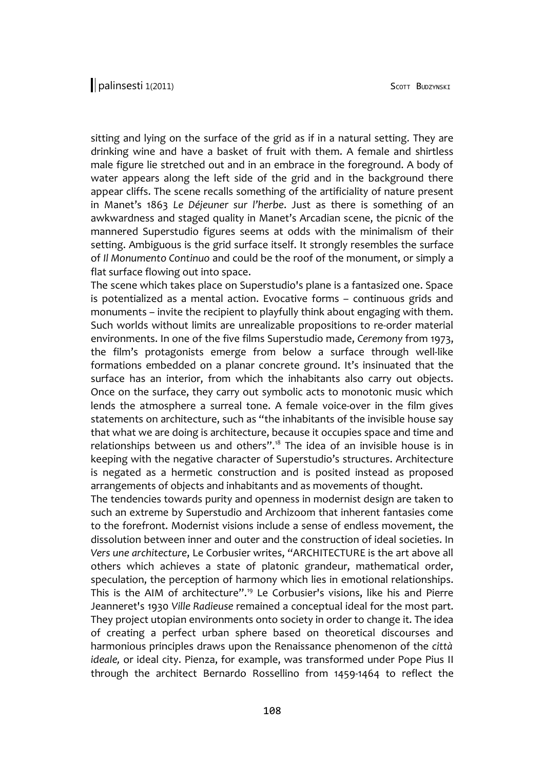sitting and lying on the surface of the grid as if in a natural setting. They are drinking wine and have a basket of fruit with them. A female and shirtless male figure lie stretched out and in an embrace in the foreground. A body of water appears along the left side of the grid and in the background there appear cliffs. The scene recalls something of the artificiality of nature present in Manet's 1863 *Le Déjeuner sur l'herbe*. Just as there is something of an awkwardness and staged quality in Manet's Arcadian scene, the picnic of the mannered Superstudio figures seems at odds with the minimalism of their setting. Ambiguous is the grid surface itself. It strongly resembles the surface of *Il Monumento Continuo* and could be the roof of the monument, or simply a flat surface flowing out into space.

The scene which takes place on Superstudio's plane is a fantasized one. Space is potentialized as a mental action. Evocative forms – continuous grids and monuments – invite the recipient to playfully think about engaging with them. Such worlds without limits are unrealizable propositions to re-order material environments. In one of the five films Superstudio made, *Ceremony* from 1973, the film's protagonists emerge from below a surface through well-like formations embedded on a planar concrete ground. It's insinuated that the surface has an interior, from which the inhabitants also carry out objects. Once on the surface, they carry out symbolic acts to monotonic music which lends the atmosphere a surreal tone. A female voice-over in the film gives statements on architecture, such as "the inhabitants of the invisible house say that what we are doing is architecture, because it occupies space and time and relationships between us and others".<sup>[18](#page-16-17)</sup> The idea of an invisible house is in keeping with the negative character of Superstudio's structures. Architecture is negated as a hermetic construction and is posited instead as proposed arrangements of objects and inhabitants and as movements of thought.

The tendencies towards purity and openness in modernist design are taken to such an extreme by Superstudio and Archizoom that inherent fantasies come to the forefront. Modernist visions include a sense of endless movement, the dissolution between inner and outer and the construction of ideal societies. In *Vers une architecture*, Le Corbusier writes, "ARCHITECTURE is the art above all others which achieves a state of platonic grandeur, mathematical order, speculation, the perception of harmony which lies in emotional relationships. This is the AIM of architecture".[19](#page-16-18) Le Corbusier's visions, like his and Pierre Jeanneret's 1930 *Ville Radieuse* remained a conceptual ideal for the most part. They project utopian environments onto society in order to change it. The idea of creating a perfect urban sphere based on theoretical discourses and harmonious principles draws upon the Renaissance phenomenon of the *città ideale,* or ideal city. Pienza, for example, was transformed under Pope Pius II through the architect Bernardo Rossellino from 1459-1464 to reflect the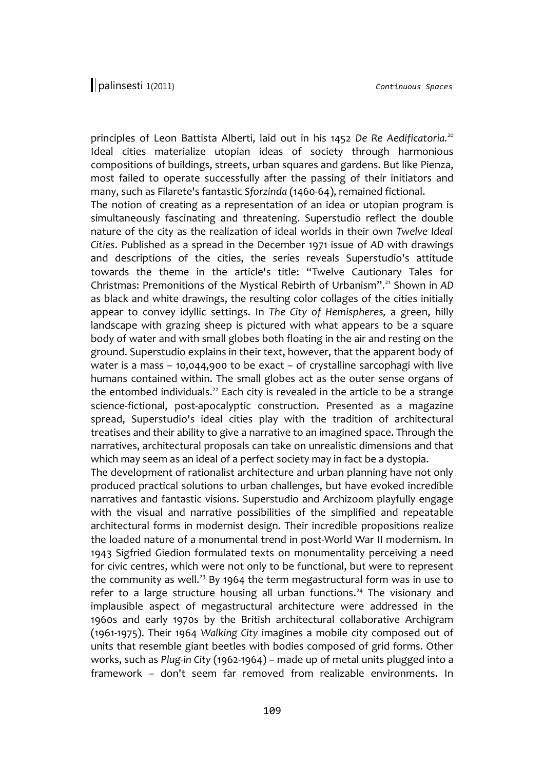principles of Leon Battista Alberti, laid out in his 1452 *De Re Aedificatoria.[20](#page-16-19)* Ideal cities materialize utopian ideas of society through harmonious compositions of buildings, streets, urban squares and gardens. But like Pienza, most failed to operate successfully after the passing of their initiators and many, such as Filarete's fantastic *Sforzinda* (1460-64), remained fictional.

The notion of creating as a representation of an idea or utopian program is simultaneously fascinating and threatening. Superstudio reflect the double nature of the city as the realization of ideal worlds in their own *Twelve Ideal Cities*. Published as a spread in the December 1971 issue of *AD* with drawings and descriptions of the cities, the series reveals Superstudio's attitude towards the theme in the article's title: "Twelve Cautionary Tales for Christmas: Premonitions of the Mystical Rebirth of Urbanism".[21](#page-17-0) Shown in *AD* as black and white drawings, the resulting color collages of the cities initially appear to convey idyllic settings. In *The City of Hemispheres,* a green, hilly landscape with grazing sheep is pictured with what appears to be a square body of water and with small globes both floating in the air and resting on the ground. Superstudio explains in their text, however, that the apparent body of water is a mass – 10,044,900 to be exact – of crystalline sarcophagi with live humans contained within. The small globes act as the outer sense organs of the entombed individuals.<sup>[22](#page-17-1)</sup> Each city is revealed in the article to be a strange science-fictional, post-apocalyptic construction. Presented as a magazine spread, Superstudio's ideal cities play with the tradition of architectural treatises and their ability to give a narrative to an imagined space. Through the narratives, architectural proposals can take on unrealistic dimensions and that which may seem as an ideal of a perfect society may in fact be a dystopia.

The development of rationalist architecture and urban planning have not only produced practical solutions to urban challenges, but have evoked incredible narratives and fantastic visions. Superstudio and Archizoom playfully engage with the visual and narrative possibilities of the simplified and repeatable architectural forms in modernist design. Their incredible propositions realize the loaded nature of a monumental trend in post-World War II modernism. In 1943 Sigfried Giedion formulated texts on monumentality perceiving a need for civic centres, which were not only to be functional, but were to represent the community as well.<sup>[23](#page-17-2)</sup> By 1964 the term megastructural form was in use to refer to a large structure housing all urban functions.<sup>[24](#page-17-3)</sup> The visionary and implausible aspect of megastructural architecture were addressed in the 1960s and early 1970s by the British architectural collaborative Archigram (1961-1975). Their 1964 *Walking City* imagines a mobile city composed out of units that resemble giant beetles with bodies composed of grid forms. Other works, such as *Plug-in City* (1962-1964) – made up of metal units plugged into a framework – don't seem far removed from realizable environments. In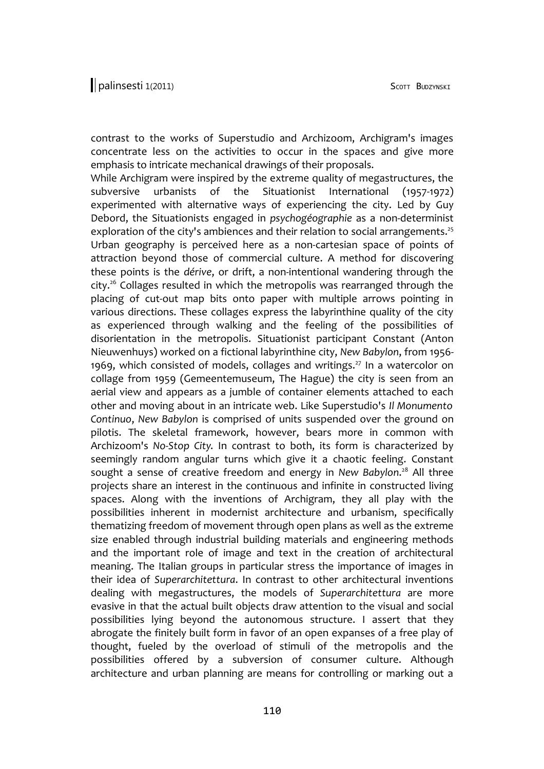contrast to the works of Superstudio and Archizoom, Archigram's images concentrate less on the activities to occur in the spaces and give more emphasis to intricate mechanical drawings of their proposals.

While Archigram were inspired by the extreme quality of megastructures, the subversive urbanists of the Situationist International (1957-1972) experimented with alternative ways of experiencing the city. Led by Guy Debord, the Situationists engaged in *psychogéographie* as a non-determinist exploration of the city's ambiences and their relation to social arrangements.<sup>[25](#page-17-4)</sup> Urban geography is perceived here as a non-cartesian space of points of attraction beyond those of commercial culture. A method for discovering these points is the *dérive*, or drift, a non-intentional wandering through the city.[26](#page-17-5) Collages resulted in which the metropolis was rearranged through the placing of cut-out map bits onto paper with multiple arrows pointing in various directions. These collages express the labyrinthine quality of the city as experienced through walking and the feeling of the possibilities of disorientation in the metropolis. Situationist participant Constant (Anton Nieuwenhuys) worked on a fictional labyrinthine city, *New Babylon*, from 1956- 1969, which consisted of models, collages and writings.<sup>[27](#page-17-6)</sup> In a watercolor on collage from 1959 (Gemeentemuseum, The Hague) the city is seen from an aerial view and appears as a jumble of container elements attached to each other and moving about in an intricate web. Like Superstudio's *Il Monumento Continuo*, *New Babylon* is comprised of units suspended over the ground on pilotis. The skeletal framework, however, bears more in common with Archizoom's *No-Stop City*. In contrast to both, its form is characterized by seemingly random angular turns which give it a chaotic feeling. Constant sought a sense of creative freedom and energy in New Babylon.<sup>[28](#page-17-7)</sup> All three projects share an interest in the continuous and infinite in constructed living spaces. Along with the inventions of Archigram, they all play with the possibilities inherent in modernist architecture and urbanism, specifically thematizing freedom of movement through open plans as well as the extreme size enabled through industrial building materials and engineering methods and the important role of image and text in the creation of architectural meaning. The Italian groups in particular stress the importance of images in their idea of *Superarchitettura*. In contrast to other architectural inventions dealing with megastructures, the models of *Superarchitettura* are more evasive in that the actual built objects draw attention to the visual and social possibilities lying beyond the autonomous structure. I assert that they abrogate the finitely built form in favor of an open expanses of a free play of thought, fueled by the overload of stimuli of the metropolis and the possibilities offered by a subversion of consumer culture. Although architecture and urban planning are means for controlling or marking out a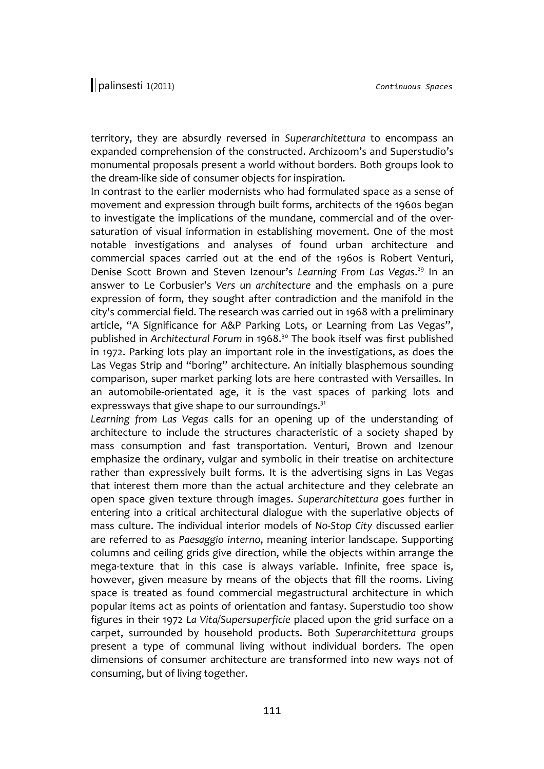territory, they are absurdly reversed in *Superarchitettura* to encompass an expanded comprehension of the constructed. Archizoom's and Superstudio's monumental proposals present a world without borders. Both groups look to the dream-like side of consumer objects for inspiration.

In contrast to the earlier modernists who had formulated space as a sense of movement and expression through built forms, architects of the 1960s began to investigate the implications of the mundane, commercial and of the oversaturation of visual information in establishing movement. One of the most notable investigations and analyses of found urban architecture and commercial spaces carried out at the end of the 1960s is Robert Venturi, Denise Scott Brown and Steven Izenour's Learning From Las Vegas.<sup>[29](#page-17-8)</sup> In an answer to Le Corbusier's *Vers un architecture* and the emphasis on a pure expression of form, they sought after contradiction and the manifold in the city's commercial field. The research was carried out in 1968 with a preliminary article, "A Significance for A&P Parking Lots, or Learning from Las Vegas", published in *Architectural Forum* in 1968.[30](#page-17-9) The book itself was first published in 1972. Parking lots play an important role in the investigations, as does the Las Vegas Strip and "boring" architecture. An initially blasphemous sounding comparison, super market parking lots are here contrasted with Versailles. In an automobile-orientated age, it is the vast spaces of parking lots and expressways that give shape to our surroundings.<sup>[31](#page-17-10)</sup>

*Learning from Las Vegas* calls for an opening up of the understanding of architecture to include the structures characteristic of a society shaped by mass consumption and fast transportation. Venturi, Brown and Izenour emphasize the ordinary, vulgar and symbolic in their treatise on architecture rather than expressively built forms. It is the advertising signs in Las Vegas that interest them more than the actual architecture and they celebrate an open space given texture through images. *Superarchitettura* goes further in entering into a critical architectural dialogue with the superlative objects of mass culture. The individual interior models of *No-Stop City* discussed earlier are referred to as *Paesaggio interno*, meaning interior landscape. Supporting columns and ceiling grids give direction, while the objects within arrange the mega-texture that in this case is always variable. Infinite, free space is, however, given measure by means of the objects that fill the rooms. Living space is treated as found commercial megastructural architecture in which popular items act as points of orientation and fantasy. Superstudio too show figures in their 1972 *La Vita/Supersuperficie* placed upon the grid surface on a carpet, surrounded by household products. Both *Superarchitettura* groups present a type of communal living without individual borders. The open dimensions of consumer architecture are transformed into new ways not of consuming, but of living together.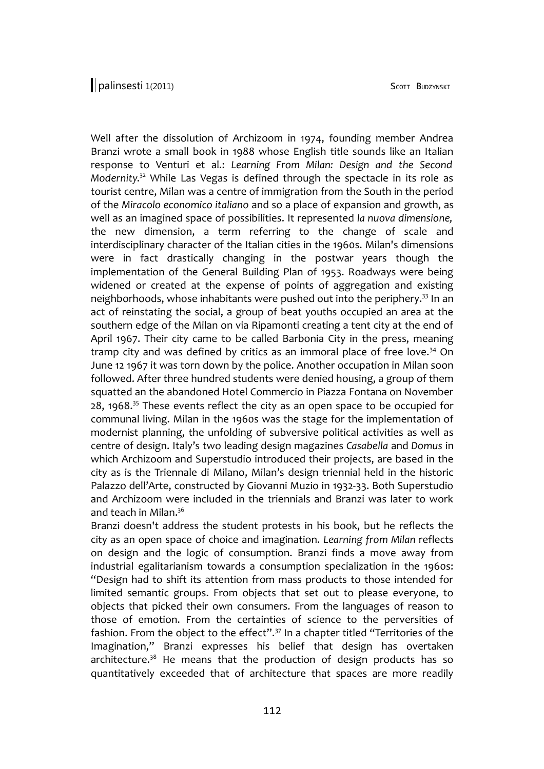Well after the dissolution of Archizoom in 1974, founding member Andrea Branzi wrote a small book in 1988 whose English title sounds like an Italian response to Venturi et al.: *Learning From Milan: Design and the Second Modernity*. [32](#page-17-11) While Las Vegas is defined through the spectacle in its role as tourist centre, Milan was a centre of immigration from the South in the period of the *Miracolo economico italiano* and so a place of expansion and growth, as well as an imagined space of possibilities. It represented *la nuova dimensione,* the new dimension, a term referring to the change of scale and interdisciplinary character of the Italian cities in the 1960s. Milan's dimensions were in fact drastically changing in the postwar years though the implementation of the General Building Plan of 1953. Roadways were being widened or created at the expense of points of aggregation and existing neighborhoods, whose inhabitants were pushed out into the periphery.<sup>[33](#page-17-12)</sup> In an act of reinstating the social, a group of beat youths occupied an area at the southern edge of the Milan on via Ripamonti creating a tent city at the end of April 1967. Their city came to be called Barbonia City in the press, meaning tramp city and was defined by critics as an immoral place of free love. $34$  On June 12 1967 it was torn down by the police. Another occupation in Milan soon followed. After three hundred students were denied housing, a group of them squatted an the abandoned Hotel Commercio in Piazza Fontana on November 28, 1968.<sup>[35](#page-17-14)</sup> These events reflect the city as an open space to be occupied for communal living. Milan in the 1960s was the stage for the implementation of modernist planning, the unfolding of subversive political activities as well as centre of design. Italy's two leading design magazines *Casabella* and *Domus* in which Archizoom and Superstudio introduced their projects, are based in the city as is the Triennale di Milano, Milan's design triennial held in the historic Palazzo dell'Arte, constructed by Giovanni Muzio in 1932-33. Both Superstudio and Archizoom were included in the triennials and Branzi was later to work and teach in Milan.<sup>[36](#page-17-15)</sup>

Branzi doesn't address the student protests in his book, but he reflects the city as an open space of choice and imagination. *Learning from Milan* reflects on design and the logic of consumption. Branzi finds a move away from industrial egalitarianism towards a consumption specialization in the 1960s: "Design had to shift its attention from mass products to those intended for limited semantic groups. From objects that set out to please everyone, to objects that picked their own consumers. From the languages of reason to those of emotion. From the certainties of science to the perversities of fashion. From the object to the effect".[37](#page-18-0) In a chapter titled "Territories of the Imagination," Branzi expresses his belief that design has overtaken architecture.<sup>[38](#page-18-1)</sup> He means that the production of design products has so quantitatively exceeded that of architecture that spaces are more readily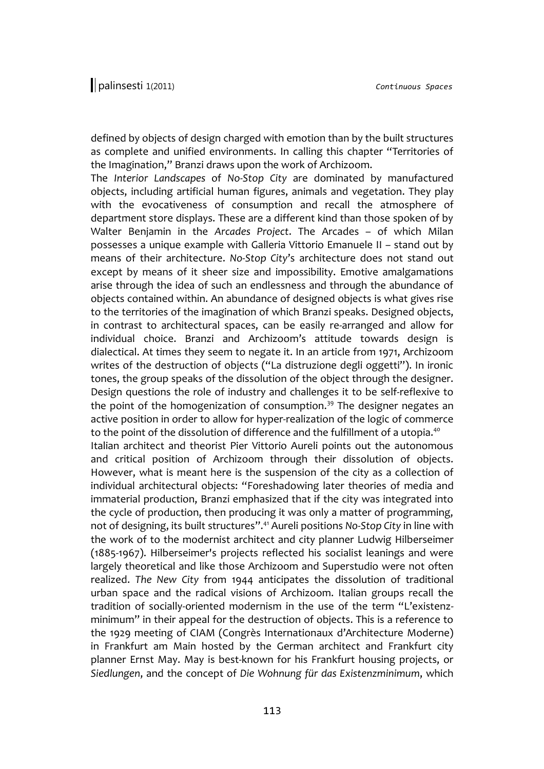defined by objects of design charged with emotion than by the built structures as complete and unified environments. In calling this chapter "Territories of the Imagination," Branzi draws upon the work of Archizoom.

The *Interior Landscapes* of *No-Stop City* are dominated by manufactured objects, including artificial human figures, animals and vegetation. They play with the evocativeness of consumption and recall the atmosphere of department store displays. These are a different kind than those spoken of by Walter Benjamin in the *Arcades Project*. The Arcades – of which Milan possesses a unique example with Galleria Vittorio Emanuele II *–* stand out by means of their architecture. *No-Stop City*'s architecture does not stand out except by means of it sheer size and impossibility. Emotive amalgamations arise through the idea of such an endlessness and through the abundance of objects contained within. An abundance of designed objects is what gives rise to the territories of the imagination of which Branzi speaks. Designed objects, in contrast to architectural spaces, can be easily re-arranged and allow for individual choice. Branzi and Archizoom's attitude towards design is dialectical. At times they seem to negate it. In an article from 1971, Archizoom writes of the destruction of objects ("La distruzione degli oggetti"). In ironic tones, the group speaks of the dissolution of the object through the designer. Design questions the role of industry and challenges it to be self-reflexive to the point of the homogenization of consumption.<sup>[39](#page-18-2)</sup> The designer negates an active position in order to allow for hyper-realization of the logic of commerce to the point of the dissolution of difference and the fulfillment of a utopia.<sup>[40](#page-18-3)</sup>

Italian architect and theorist Pier Vittorio Aureli points out the autonomous and critical position of Archizoom through their dissolution of objects. However, what is meant here is the suspension of the city as a collection of individual architectural objects: "Foreshadowing later theories of media and immaterial production, Branzi emphasized that if the city was integrated into the cycle of production, then producing it was only a matter of programming, not of designing, its built structures".[41](#page-18-4) Aureli positions *No-Stop City* in line with the work of to the modernist architect and city planner Ludwig Hilberseimer (1885-1967). Hilberseimer's projects reflected his socialist leanings and were largely theoretical and like those Archizoom and Superstudio were not often realized. *The New City* from 1944 anticipates the dissolution of traditional urban space and the radical visions of Archizoom. Italian groups recall the tradition of socially-oriented modernism in the use of the term "L'existenzminimum" in their appeal for the destruction of objects. This is a reference to the 1929 meeting of CIAM (Congrès Internationaux d'Architecture Moderne) in Frankfurt am Main hosted by the German architect and Frankfurt city planner Ernst May. May is best-known for his Frankfurt housing projects, or *Siedlungen*, and the concept of *Die Wohnung für das Existenzminimum*, which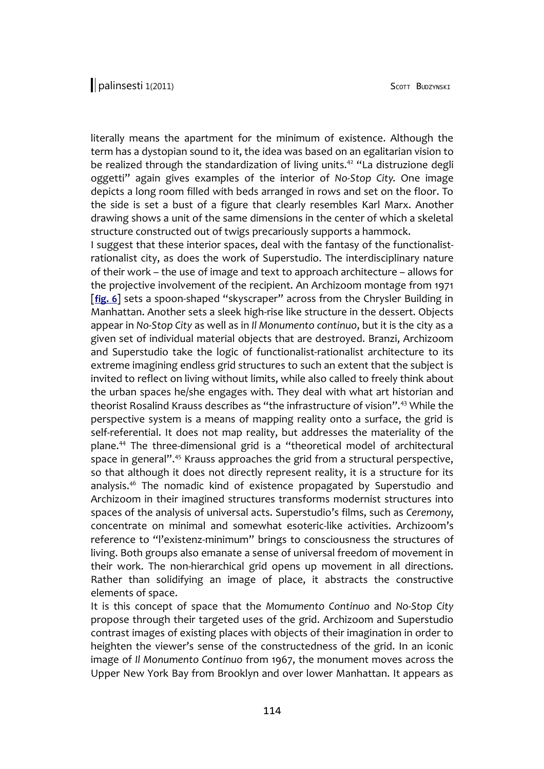literally means the apartment for the minimum of existence. Although the term has a dystopian sound to it, the idea was based on an egalitarian vision to be realized through the standardization of living units.<sup>[42](#page-18-5)</sup> "La distruzione degli oggetti" again gives examples of the interior of *No-Stop City*. One image depicts a long room filled with beds arranged in rows and set on the floor. To the side is set a bust of a figure that clearly resembles Karl Marx. Another drawing shows a unit of the same dimensions in the center of which a skeletal structure constructed out of twigs precariously supports a hammock.

I suggest that these interior spaces, deal with the fantasy of the functionalistrationalist city, as does the work of Superstudio. The interdisciplinary nature of their work – the use of image and text to approach architecture – allows for the projective involvement of the recipient. An Archizoom montage from 1971 [**[fig. 6](http://www.palinsesti.net/index.php/Palinsesti/article/downloadSuppFile/15/93)**] sets a spoon-shaped "skyscraper" across from the Chrysler Building in Manhattan. Another sets a sleek high-rise like structure in the dessert. Objects appear in *No-Stop City* as well as in *Il Monumento continuo*, but it is the city as a given set of individual material objects that are destroyed. Branzi, Archizoom and Superstudio take the logic of functionalist-rationalist architecture to its extreme imagining endless grid structures to such an extent that the subject is invited to reflect on living without limits, while also called to freely think about the urban spaces he/she engages with. They deal with what art historian and theorist Rosalind Krauss describes as "the infrastructure of vision".<sup>[43](#page-18-6)</sup> While the perspective system is a means of mapping reality onto a surface, the grid is self-referential. It does not map reality, but addresses the materiality of the plane.[44](#page-18-7) The three-dimensional grid is a "theoretical model of architectural space in general".[45](#page-18-8) Krauss approaches the grid from a structural perspective, so that although it does not directly represent reality, it is a structure for its analysis.[46](#page-18-9) The nomadic kind of existence propagated by Superstudio and Archizoom in their imagined structures transforms modernist structures into spaces of the analysis of universal acts. Superstudio's films, such as *Ceremony*, concentrate on minimal and somewhat esoteric-like activities. Archizoom's reference to "l'existenz-minimum" brings to consciousness the structures of living. Both groups also emanate a sense of universal freedom of movement in their work. The non-hierarchical grid opens up movement in all directions. Rather than solidifying an image of place, it abstracts the constructive elements of space.

It is this concept of space that the *Momumento Continuo* and *No-Stop City* propose through their targeted uses of the grid. Archizoom and Superstudio contrast images of existing places with objects of their imagination in order to heighten the viewer's sense of the constructedness of the grid. In an iconic image of *Il Monumento Continuo* from 1967, the monument moves across the Upper New York Bay from Brooklyn and over lower Manhattan. It appears as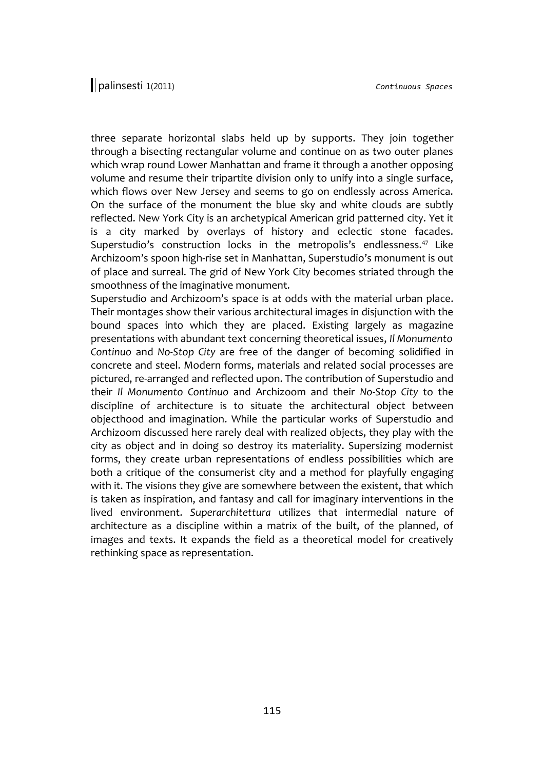three separate horizontal slabs held up by supports. They join together through a bisecting rectangular volume and continue on as two outer planes which wrap round Lower Manhattan and frame it through a another opposing volume and resume their tripartite division only to unify into a single surface, which flows over New Jersey and seems to go on endlessly across America. On the surface of the monument the blue sky and white clouds are subtly reflected. New York City is an archetypical American grid patterned city. Yet it is a city marked by overlays of history and eclectic stone facades. Superstudio's construction locks in the metropolis's endlessness.<sup>[47](#page-18-10)</sup> Like Archizoom's spoon high-rise set in Manhattan, Superstudio's monument is out of place and surreal. The grid of New York City becomes striated through the smoothness of the imaginative monument.

Superstudio and Archizoom's space is at odds with the material urban place. Their montages show their various architectural images in disjunction with the bound spaces into which they are placed. Existing largely as magazine presentations with abundant text concerning theoretical issues, *Il Monumento Continuo* and *No-Stop City* are free of the danger of becoming solidified in concrete and steel. Modern forms, materials and related social processes are pictured, re-arranged and reflected upon. The contribution of Superstudio and their *Il Monumento Continuo* and Archizoom and their *No-Stop City* to the discipline of architecture is to situate the architectural object between objecthood and imagination. While the particular works of Superstudio and Archizoom discussed here rarely deal with realized objects, they play with the city as object and in doing so destroy its materiality. Supersizing modernist forms, they create urban representations of endless possibilities which are both a critique of the consumerist city and a method for playfully engaging with it. The visions they give are somewhere between the existent, that which is taken as inspiration, and fantasy and call for imaginary interventions in the lived environment. *Superarchitettura* utilizes that intermedial nature of architecture as a discipline within a matrix of the built, of the planned, of images and texts. It expands the field as a theoretical model for creatively rethinking space as representation.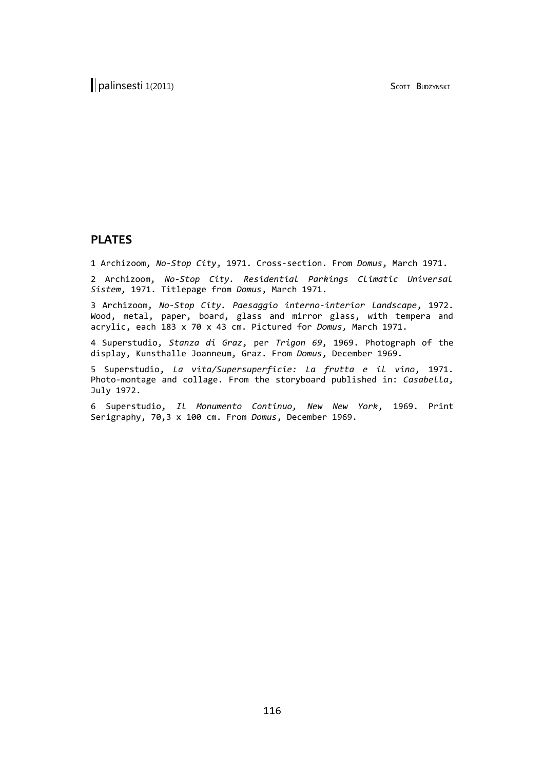## **PLATES**

1 Archizoom, *No-Stop City*, 1971. Cross-section. From *Domus*, March 1971.

2 Archizoom, *No-Stop City. Residential Parkings Climatic Universal Sistem*, 1971. Titlepage from *Domus*, March 1971.

3 Archizoom, *No-Stop City. Paesaggio interno-interior landscape*, 1972. Wood, metal, paper, board, glass and mirror glass, with tempera and acrylic, each 183 x 70 x 43 cm. Pictured for *Domus,* March 1971.

4 Superstudio, *Stanza di Graz*, per *Trigon 69*, 1969. Photograph of the display, Kunsthalle Joanneum, Graz. From *Domus*, December 1969.

5 Superstudio, *La vita/Supersuperficie: La frutta e il vino*, 1971. Photo-montage and collage. From the storyboard published in: *Casabella*, July 1972.

6 Superstudio, *Il Monumento Continuo, New New York*, 1969. Print Serigraphy, 70,3 x 100 cm. From *Domus*, December 1969.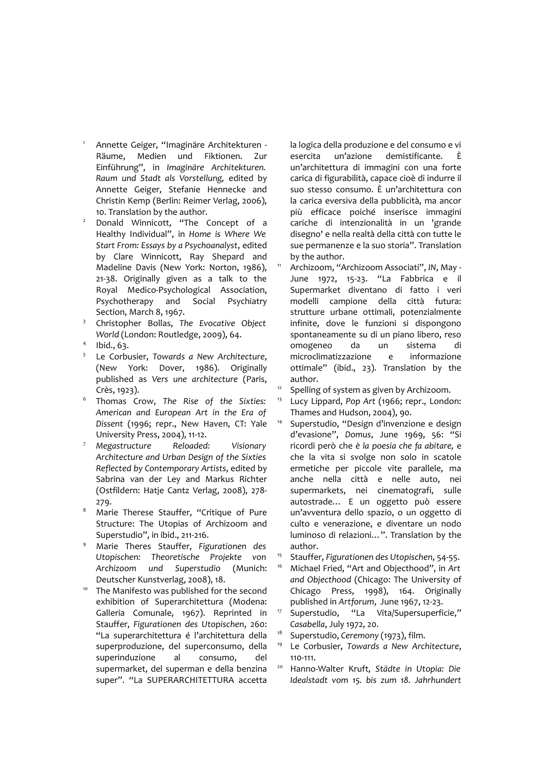- <span id="page-16-0"></span><sup>1</sup> Annette Geiger, "Imaginäre Architekturen - Räume, Medien und Fiktionen. Zur Einführung", in *Imaginäre Architekturen. Raum und Stadt als Vorstellung,* edited by Annette Geiger, Stefanie Hennecke and Christin Kemp (Berlin: Reimer Verlag, 2006), 10. Translation by the author.
- <span id="page-16-1"></span><sup>2</sup> Donald Winnicott, "The Concept of a Healthy Individual", in *Home is Where We Start From: Essays by a Psychoanalyst*, edited by Clare Winnicott, Ray Shepard and Madeline Davis (New York: Norton, 1986), 21-38. Originally given as a talk to the Royal Medico-Psychological Association, Psychotherapy and Social Psychiatry Section, March 8, 1967.
- <span id="page-16-2"></span><sup>3</sup> Christopher Bollas, *The Evocative Object World* (London: Routledge, 2009), 64.
- <span id="page-16-3"></span>4 Ibid., 63.
- <span id="page-16-4"></span>5 Le Corbusier, *Towards a New Architecture*, (New York: Dover, 1986). Originally published as *Vers une architecture* (Paris, Crès, 1923).
- <span id="page-16-5"></span>6 Thomas Crow, *The Rise of the Sixties: American and European Art in the Era of Dissent* (1996; repr., New Haven, CT: Yale University Press, 2004), 11-12.
- <span id="page-16-6"></span><sup>7</sup> *Megastructure Reloaded: Visionary Architecture and Urban Design of the Sixties Reflected by Contemporary Artists*, edited by Sabrina van der Ley and Markus Richter (Ostfildern: Hatje Cantz Verlag, 2008), 278- 279.
- <span id="page-16-7"></span>Marie Therese Stauffer, "Critique of Pure Structure: The Utopias of Archizoom and Superstudio", in ibid., 211-216.
- <span id="page-16-8"></span><sup>9</sup> Marie Theres Stauffer, *Figurationen des Utopischen: Theoretische Projekte von Archizoom und Superstudio* (Munich: Deutscher Kunstverlag, 2008), 18.
- <span id="page-16-9"></span><sup>10</sup> The Manifesto was published for the second exhibition of Superarchitettura (Modena: Galleria Comunale, 1967). Reprinted in Stauffer, *Figurationen des Utopischen*, 260: "La superarchitettura é l'architettura della superproduzione, del superconsumo, della superinduzione al consumo, del supermarket, del superman e della benzina super". "La SUPERARCHITETTURA accetta

la logica della produzione e del consumo e vi esercita un'azione demistificante. È un'architettura di immagini con una forte carica di figurabilità, capace cioè di indurre il suo stesso consumo. È un'architettura con la carica eversiva della pubblicità, ma ancor più efficace poiché inserisce immagini cariche di intenzionalità in un 'grande disegno' e nella realtà della città con tutte le sue permanenze e la suo storia". Translation by the author.

- <span id="page-16-10"></span><sup>11</sup> Archizoom, "Archizoom Associati", *IN*, May - June 1972, 15-23. "La Fabbrica e il Supermarket diventano di fatto i veri modelli campione della città futura: strutture urbane ottimali, potenzialmente infinite, dove le funzioni si dispongono spontaneamente su di un piano libero, reso omogeneo da un sistema di microclimatizzazione e informazione ottimale" (ibid., 23). Translation by the author.
- <span id="page-16-11"></span> $12$  Spelling of system as given by Archizoom.
- <span id="page-16-12"></span><sup>13</sup> Lucy Lippard, *Pop Art* (1966; repr., London: Thames and Hudson, 2004), 90.
- <span id="page-16-13"></span><sup>14</sup> Superstudio, "Design d'invenzione e design d'evasione", *Domus*, June 1969, 56: "Si ricordi però che *è la poesia che fa abitare,* e che la vita si svolge non solo in scatole ermetiche per piccole vite parallele, ma anche nella città e nelle auto, nei supermarkets, nei cinematografi, sulle autostrade… E un oggetto può essere un'avventura dello spazio, o un oggetto di culto e venerazione, e diventare un nodo luminoso di relazioni…". Translation by the author.
- <span id="page-16-14"></span><sup>15</sup> Stauffer, *Figurationen des Utopischen*, 54-55.
- <span id="page-16-15"></span><sup>16</sup> Michael Fried, "Art and Objecthood", in *Art and Objecthood* (Chicago: The University of Chicago Press, 1998), 164. Originally published in *Artforum*,June 1967, 12-23.
- <span id="page-16-16"></span><sup>17</sup> Superstudio, "La Vita/Supersuperficie," *Casabella*, July 1972, 20.
- <span id="page-16-17"></span><sup>18</sup> Superstudio, *Ceremony* (1973), film.
- <span id="page-16-18"></span><sup>19</sup> Le Corbusier, *Towards a New Architecture*, 110-111.
- <span id="page-16-19"></span><sup>20</sup> Hanno-Walter Kruft, *Städte in Utopia: Die Idealstadt vom 15. bis zum 18. Jahrhundert*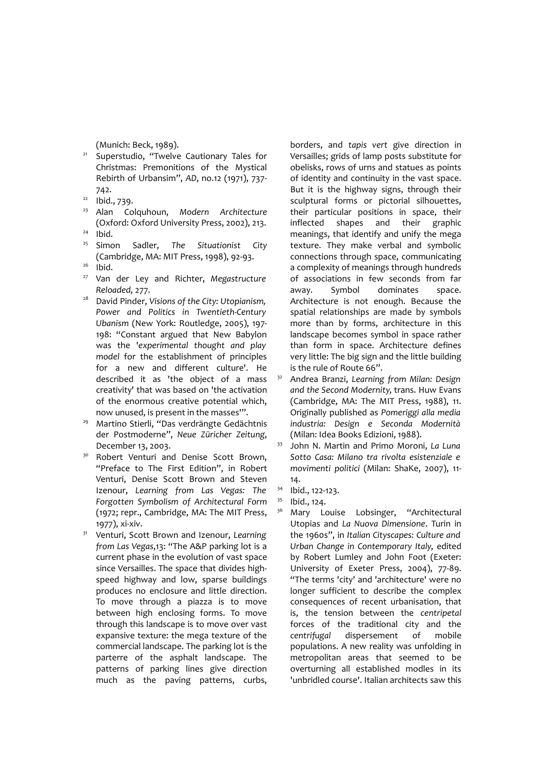<span id="page-17-0"></span>(Munich: Beck, 1989).

- <sup>21</sup> Superstudio, "Twelve Cautionary Tales for Christmas: Premonitions of the Mystical Rebirth of Urbansim", *AD*, no.12 (1971), 737- 742.
- <span id="page-17-1"></span> $22$  Ibid., 739.
- <span id="page-17-2"></span><sup>23</sup> Alan Colquhoun, *Modern Architecture* (Oxford: Oxford University Press, 2002), 213.
- <span id="page-17-3"></span> $24$  Ibid.
- <span id="page-17-4"></span><sup>25</sup> Simon Sadler, *The Situationist City* (Cambridge, MA: MIT Press, 1998), 92-93.
- <span id="page-17-5"></span> $26$  Ibid.
- <span id="page-17-6"></span><sup>27</sup> Van der Ley and Richter, *Megastructure Reloaded,* 277.
- <span id="page-17-7"></span><sup>28</sup> David Pinder, *Visions of the City: Utopianism, Power and Politics in Twentieth-Century Ubanism* (New York: Routledge, 2005), 197- 198: "Constant argued that New Babylon was the '*experimental thought and play model* for the establishment of principles for a new and different culture'. He described it as 'the object of a mass creativity' that was based on 'the activation of the enormous creative potential which, now unused, is present in the masses'".
- <span id="page-17-8"></span><sup>29</sup> Martino Stierli, "Das verdrängte Gedächtnis der Postmoderne", *Neue Züricher Zeitung*, December 13, 2003.
- <span id="page-17-9"></span><sup>30</sup> Robert Venturi and Denise Scott Brown, "Preface to The First Edition", in Robert Venturi, Denise Scott Brown and Steven Izenour, *Learning from Las Vegas: The Forgotten Symbolism of Architectural Form* (1972; repr., Cambridge, MA: The MIT Press, 1977), xi-xiv.
- <span id="page-17-10"></span><sup>31</sup> Venturi, Scott Brown and Izenour, *Learning from Las Vegas*,13: "The A&P parking lot is a current phase in the evolution of vast space since Versailles. The space that divides highspeed highway and low, sparse buildings produces no enclosure and little direction. To move through a piazza is to move between high enclosing forms. To move through this landscape is to move over vast expansive texture: the mega texture of the commercial landscape. The parking lot is the parterre of the asphalt landscape. The patterns of parking lines give direction much as the paving patterns, curbs,

borders, and *tapis vert* give direction in Versailles; grids of lamp posts substitute for obelisks, rows of urns and statues as points of identity and continuity in the vast space. But it is the highway signs, through their sculptural forms or pictorial silhouettes, their particular positions in space, their inflected shapes and their graphic meanings, that identify and unify the mega texture. They make verbal and symbolic connections through space, communicating a complexity of meanings through hundreds of associations in few seconds from far away. Symbol dominates space. Architecture is not enough. Because the spatial relationships are made by symbols more than by forms, architecture in this landscape becomes symbol in space rather than form in space. Architecture defines very little: The big sign and the little building is the rule of Route 66".

- <span id="page-17-11"></span><sup>32</sup> Andrea Branzi, *Learning from Milan: Design and the Second Modernity*, trans. Huw Evans (Cambridge, MA: The MIT Press, 1988), 11. Originally published as *Pomeriggi alla media industria: Design e Seconda Modernità* (Milan: Idea Books Edizioni, 1988).
- <span id="page-17-12"></span><sup>33</sup> John N. Martin and Primo Moroni, *La Luna Sotto Casa: Milano tra rivolta esistenziale e movimenti politici* (Milan: ShaKe, 2007), 11- 14.
- <span id="page-17-13"></span><sup>34</sup> Ibid., 122-123.
- <span id="page-17-15"></span><span id="page-17-14"></span><sup>35</sup> Ibid., 124.
	- Mary Louise Lobsinger, "Architectural Utopias and *La Nuova Dimensione*. Turin in the 1960s", in *Italian Cityscapes: Culture and Urban Change in Contemporary Italy*, edited by Robert Lumley and John Foot (Exeter: University of Exeter Press, 2004), 77-89. "The terms 'city' and 'architecture' were no longer sufficient to describe the complex consequences of recent urbanisation, that is, the tension between the *centripetal* forces of the traditional city and the *centrifugal* dispersement of mobile populations. A new reality was unfolding in metropolitan areas that seemed to be overturning all established modles in its 'unbridled course'. Italian architects saw this